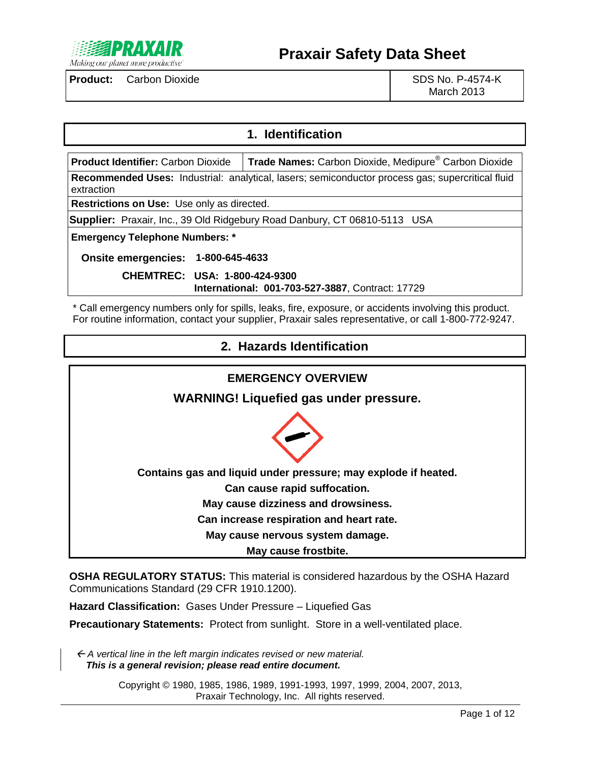

March 2013

### **1. Identification**

**Product Identifier:** Carbon Dioxide **Trade Names:** Carbon Dioxide, Medipure® Carbon Dioxide **Recommended Uses:** Industrial: analytical, lasers; semiconductor process gas; supercritical fluid extraction

**Restrictions on Use:** Use only as directed.

**Supplier:** Praxair, Inc., 39 Old Ridgebury Road Danbury, CT 06810-5113 USA

**Emergency Telephone Numbers: \***

**Onsite emergencies: 1-800-645-4633**

**CHEMTREC: USA: 1-800-424-9300 International: 001-703-527-3887**, Contract: 17729

\* Call emergency numbers only for spills, leaks, fire, exposure, or accidents involving this product. For routine information, contact your supplier, Praxair sales representative, or call 1-800-772-9247.

| 2. Hazards Identification                                      |
|----------------------------------------------------------------|
|                                                                |
| <b>EMERGENCY OVERVIEW</b>                                      |
| <b>WARNING! Liquefied gas under pressure.</b>                  |
|                                                                |
| Contains gas and liquid under pressure; may explode if heated. |
| Can cause rapid suffocation.                                   |
| May cause dizziness and drowsiness.                            |
| Can increase respiration and heart rate.                       |
| May cause nervous system damage.                               |
| May cause frostbite.                                           |

**OSHA REGULATORY STATUS:** This material is considered hazardous by the OSHA Hazard Communications Standard (29 CFR 1910.1200).

**Hazard Classification:** Gases Under Pressure – Liquefied Gas

**Precautionary Statements:** Protect from sunlight. Store in a well-ventilated place.

 *A vertical line in the left margin indicates revised or new material. This is a general revision; please read entire document.*

> Copyright © 1980, 1985, 1986, 1989, 1991-1993, 1997, 1999, 2004, 2007, 2013, Praxair Technology, Inc. All rights reserved.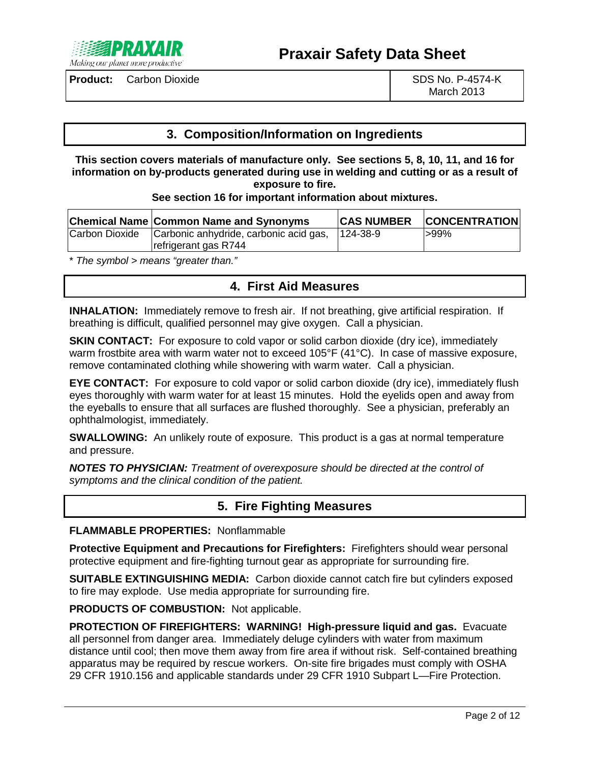

March 2013

### **3. Composition/Information on Ingredients**

**This section covers materials of manufacture only. See sections 5, 8, 10, 11, and 16 for information on by-products generated during use in welding and cutting or as a result of exposure to fire.**

#### **See section 16 for important information about mixtures.**

|                | <b>Chemical Name Common Name and Synonyms</b> | <b>CAS NUMBER</b> | <b>CONCENTRATION</b> |
|----------------|-----------------------------------------------|-------------------|----------------------|
| Carbon Dioxide | Carbonic anhydride, carbonic acid gas,        | $124 - 38 - 9$    | $>99\%$              |
|                | refrigerant gas R744                          |                   |                      |

\* *The symbol > means "greater than."*

# **4. First Aid Measures**

**INHALATION:** Immediately remove to fresh air. If not breathing, give artificial respiration. If breathing is difficult, qualified personnel may give oxygen. Call a physician.

**SKIN CONTACT:** For exposure to cold vapor or solid carbon dioxide (dry ice), immediately warm frostbite area with warm water not to exceed 105°F (41°C). In case of massive exposure, remove contaminated clothing while showering with warm water. Call a physician.

**EYE CONTACT:** For exposure to cold vapor or solid carbon dioxide (dry ice), immediately flush eyes thoroughly with warm water for at least 15 minutes. Hold the eyelids open and away from the eyeballs to ensure that all surfaces are flushed thoroughly. See a physician, preferably an ophthalmologist, immediately.

**SWALLOWING:** An unlikely route of exposure. This product is a gas at normal temperature and pressure.

*NOTES TO PHYSICIAN: Treatment of overexposure should be directed at the control of symptoms and the clinical condition of the patient.*

### **5. Fire Fighting Measures**

#### **FLAMMABLE PROPERTIES:** Nonflammable

**Protective Equipment and Precautions for Firefighters:** Firefighters should wear personal protective equipment and fire-fighting turnout gear as appropriate for surrounding fire.

**SUITABLE EXTINGUISHING MEDIA:** Carbon dioxide cannot catch fire but cylinders exposed to fire may explode. Use media appropriate for surrounding fire.

**PRODUCTS OF COMBUSTION:** Not applicable.

**PROTECTION OF FIREFIGHTERS: WARNING! High-pressure liquid and gas.** Evacuate all personnel from danger area. Immediately deluge cylinders with water from maximum distance until cool; then move them away from fire area if without risk. Self-contained breathing apparatus may be required by rescue workers. On-site fire brigades must comply with OSHA 29 CFR 1910.156 and applicable standards under 29 CFR 1910 Subpart L—Fire Protection.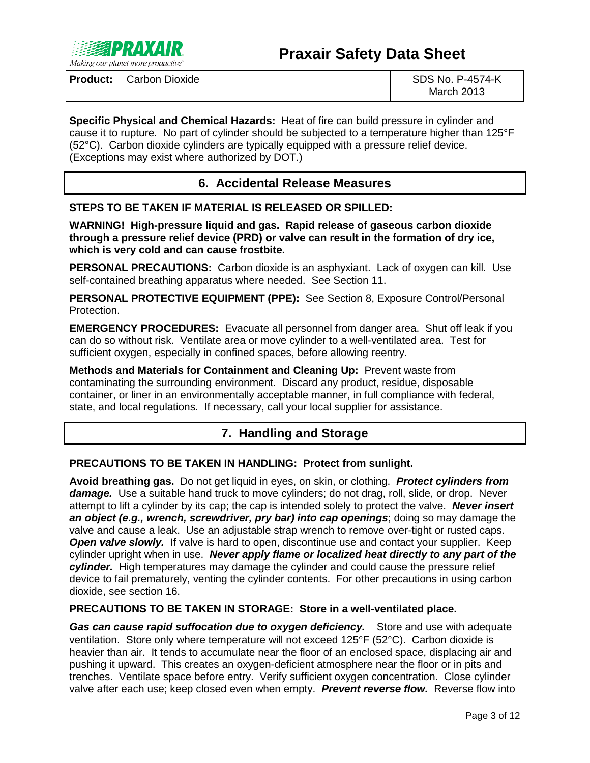

# **Praxair Safety Data Sheet**

**Product:** Carbon Dioxide SDS No. P-4574-K

March 2013

**Specific Physical and Chemical Hazards:** Heat of fire can build pressure in cylinder and cause it to rupture. No part of cylinder should be subjected to a temperature higher than 125°F (52°C). Carbon dioxide cylinders are typically equipped with a pressure relief device. (Exceptions may exist where authorized by DOT.)

# **6. Accidental Release Measures**

**STEPS TO BE TAKEN IF MATERIAL IS RELEASED OR SPILLED:**

**WARNING! High-pressure liquid and gas. Rapid release of gaseous carbon dioxide through a pressure relief device (PRD) or valve can result in the formation of dry ice, which is very cold and can cause frostbite.**

**PERSONAL PRECAUTIONS:** Carbon dioxide is an asphyxiant. Lack of oxygen can kill. Use self-contained breathing apparatus where needed. See Section 11.

**PERSONAL PROTECTIVE EQUIPMENT (PPE):** See Section 8, Exposure Control/Personal Protection.

**EMERGENCY PROCEDURES:** Evacuate all personnel from danger area. Shut off leak if you can do so without risk. Ventilate area or move cylinder to a well-ventilated area. Test for sufficient oxygen, especially in confined spaces, before allowing reentry.

**Methods and Materials for Containment and Cleaning Up:** Prevent waste from contaminating the surrounding environment. Discard any product, residue, disposable container, or liner in an environmentally acceptable manner, in full compliance with federal, state, and local regulations. If necessary, call your local supplier for assistance.

# **7. Handling and Storage**

#### **PRECAUTIONS TO BE TAKEN IN HANDLING: Protect from sunlight.**

**Avoid breathing gas.** Do not get liquid in eyes, on skin, or clothing. *Protect cylinders from damage.* Use a suitable hand truck to move cylinders; do not drag, roll, slide, or drop. Never attempt to lift a cylinder by its cap; the cap is intended solely to protect the valve. *Never insert an object (e.g., wrench, screwdriver, pry bar) into cap openings*; doing so may damage the valve and cause a leak. Use an adjustable strap wrench to remove over-tight or rusted caps. **Open valve slowly.** If valve is hard to open, discontinue use and contact your supplier. Keep cylinder upright when in use. *Never apply flame or localized heat directly to any part of the cylinder.* High temperatures may damage the cylinder and could cause the pressure relief device to fail prematurely, venting the cylinder contents. For other precautions in using carbon dioxide, see section 16.

#### **PRECAUTIONS TO BE TAKEN IN STORAGE: Store in a well-ventilated place.**

**Gas can cause rapid suffocation due to oxygen deficiency.** Store and use with adequate ventilation. Store only where temperature will not exceed 125°F (52°C). Carbon dioxide is heavier than air. It tends to accumulate near the floor of an enclosed space, displacing air and pushing it upward. This creates an oxygen-deficient atmosphere near the floor or in pits and trenches. Ventilate space before entry. Verify sufficient oxygen concentration. Close cylinder valve after each use; keep closed even when empty. *Prevent reverse flow.* Reverse flow into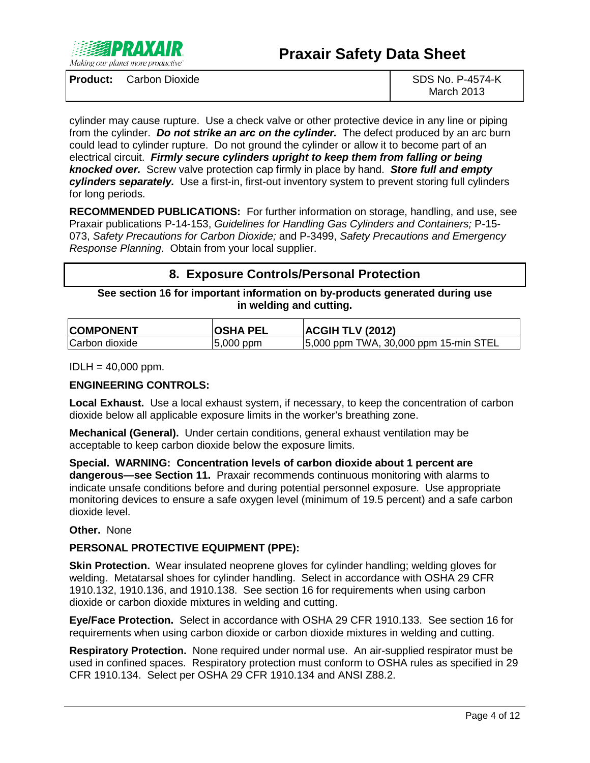

March 2013

cylinder may cause rupture. Use a check valve or other protective device in any line or piping from the cylinder. *Do not strike an arc on the cylinder.* The defect produced by an arc burn could lead to cylinder rupture. Do not ground the cylinder or allow it to become part of an electrical circuit. *Firmly secure cylinders upright to keep them from falling or being knocked over.* Screw valve protection cap firmly in place by hand. *Store full and empty cylinders separately.* Use a first-in, first-out inventory system to prevent storing full cylinders for long periods.

**RECOMMENDED PUBLICATIONS:** For further information on storage, handling, and use, see Praxair publications P-14-153, *Guidelines for Handling Gas Cylinders and Containers;* P-15- 073, *Safety Precautions for Carbon Dioxide;* and P-3499, *Safety Precautions and Emergency Response Planning*. Obtain from your local supplier.

# **8. Exposure Controls/Personal Protection**

#### **See section 16 for important information on by-products generated during use in welding and cutting.**

| <b>COMPONENT</b> | <b>OSHA PEL</b> | <b>ACGIH TLV (2012)</b>               |
|------------------|-----------------|---------------------------------------|
| Carbon dioxide   | $ 5,000$ ppm    | 5,000 ppm TWA, 30,000 ppm 15-min STEL |

 $IDLH = 40,000$  ppm.

#### **ENGINEERING CONTROLS:**

**Local Exhaust.** Use a local exhaust system, if necessary, to keep the concentration of carbon dioxide below all applicable exposure limits in the worker's breathing zone.

**Mechanical (General).** Under certain conditions, general exhaust ventilation may be acceptable to keep carbon dioxide below the exposure limits.

**Special. WARNING: Concentration levels of carbon dioxide about 1 percent are dangerous—see Section 11.** Praxair recommends continuous monitoring with alarms to indicate unsafe conditions before and during potential personnel exposure. Use appropriate monitoring devices to ensure a safe oxygen level (minimum of 19.5 percent) and a safe carbon dioxide level.

#### **Other.** None

#### **PERSONAL PROTECTIVE EQUIPMENT (PPE):**

**Skin Protection.** Wear insulated neoprene gloves for cylinder handling; welding gloves for welding. Metatarsal shoes for cylinder handling. Select in accordance with OSHA 29 CFR 1910.132, 1910.136, and 1910.138. See section 16 for requirements when using carbon dioxide or carbon dioxide mixtures in welding and cutting.

**Eye/Face Protection.** Select in accordance with OSHA 29 CFR 1910.133. See section 16 for requirements when using carbon dioxide or carbon dioxide mixtures in welding and cutting.

**Respiratory Protection.** None required under normal use. An air-supplied respirator must be used in confined spaces. Respiratory protection must conform to OSHA rules as specified in 29 CFR 1910.134. Select per OSHA 29 CFR 1910.134 and ANSI Z88.2.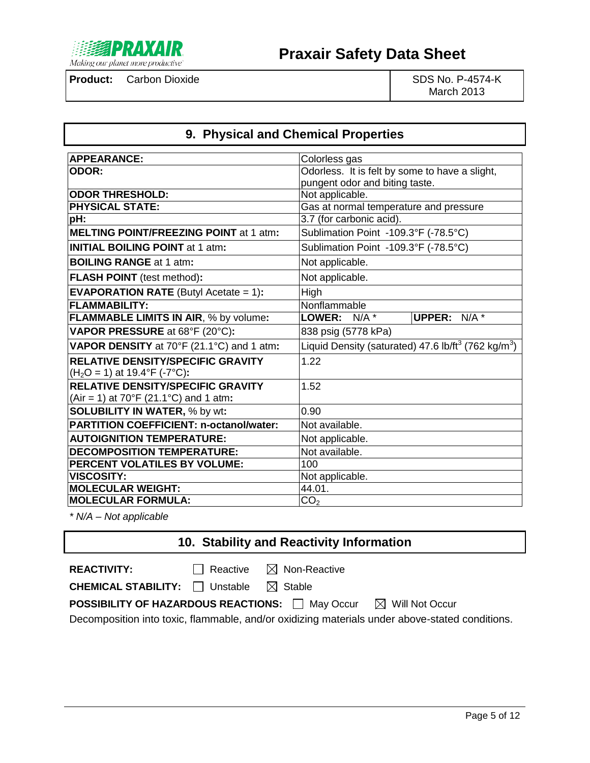

March 2013

# **9. Physical and Chemical Properties**

| <b>APPEARANCE:</b>                                   | Colorless gas                                                               |
|------------------------------------------------------|-----------------------------------------------------------------------------|
| <b>ODOR:</b>                                         | Odorless. It is felt by some to have a slight,                              |
|                                                      | pungent odor and biting taste.                                              |
| <b>ODOR THRESHOLD:</b>                               | Not applicable.                                                             |
| <b>PHYSICAL STATE:</b>                               | Gas at normal temperature and pressure                                      |
| pH:                                                  | 3.7 (for carbonic acid).                                                    |
| <b>MELTING POINT/FREEZING POINT at 1 atm:</b>        | Sublimation Point -109.3°F (-78.5°C)                                        |
| <b>INITIAL BOILING POINT at 1 atm:</b>               | Sublimation Point -109.3°F (-78.5°C)                                        |
| <b>BOILING RANGE at 1 atm:</b>                       | Not applicable.                                                             |
| <b>FLASH POINT</b> (test method):                    | Not applicable.                                                             |
| <b>EVAPORATION RATE</b> (Butyl Acetate $= 1$ ):      | High                                                                        |
| <b>FLAMMABILITY:</b>                                 | Nonflammable                                                                |
| <b>FLAMMABLE LIMITS IN AIR, % by volume:</b>         | <b>UPPER:</b> N/A *<br>LOWER: N/A *                                         |
| VAPOR PRESSURE at 68°F (20°C):                       | 838 psig (5778 kPa)                                                         |
| VAPOR DENSITY at 70°F (21.1°C) and 1 atm:            | Liquid Density (saturated) 47.6 lb/ft <sup>3</sup> (762 kg/m <sup>3</sup> ) |
| <b>RELATIVE DENSITY/SPECIFIC GRAVITY</b>             | 1.22                                                                        |
| $(H2O = 1)$ at 19.4°F (-7°C):                        |                                                                             |
| <b>RELATIVE DENSITY/SPECIFIC GRAVITY</b>             | 1.52                                                                        |
| (Air = 1) at $70^{\circ}F(21.1^{\circ}C)$ and 1 atm: |                                                                             |
| <b>SOLUBILITY IN WATER, % by wt:</b>                 | 0.90                                                                        |
| <b>PARTITION COEFFICIENT: n-octanol/water:</b>       | Not available.                                                              |
| <b>AUTOIGNITION TEMPERATURE:</b>                     | Not applicable.                                                             |
| <b>DECOMPOSITION TEMPERATURE:</b>                    | Not available.                                                              |
| PERCENT VOLATILES BY VOLUME:                         | 100                                                                         |
| <b>VISCOSITY:</b>                                    | Not applicable.                                                             |
| <b>MOLECULAR WEIGHT:</b>                             | 44.01.                                                                      |
| <b>MOLECULAR FORMULA:</b>                            | CO <sub>2</sub>                                                             |

*\* N/A – Not applicable*

# **10. Stability and Reactivity Information**

**REACTIVITY:** □ Reactive ⊠ Non-Reactive

**CHEMICAL STABILITY:** □ Unstable △ Stable

**POSSIBILITY OF HAZARDOUS REACTIONS:** May Occur **M** Will Not Occur

Decomposition into toxic, flammable, and/or oxidizing materials under above-stated conditions.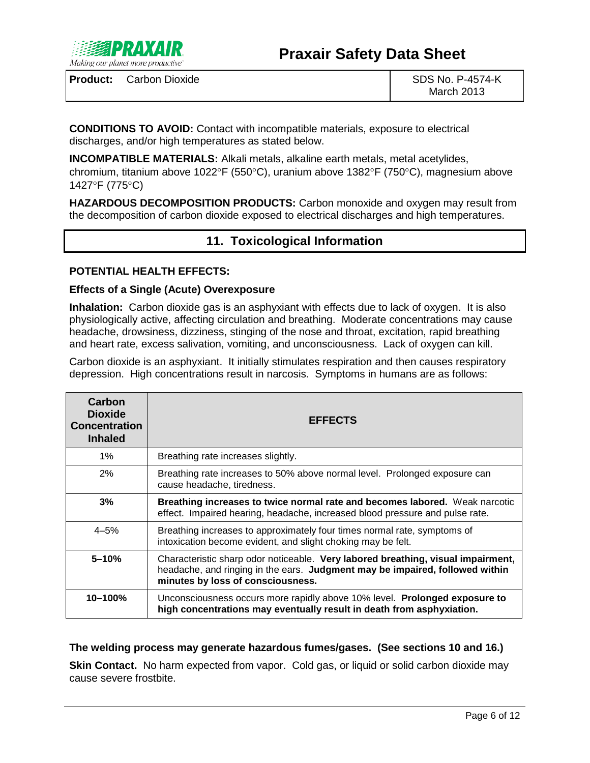

**CONDITIONS TO AVOID:** Contact with incompatible materials, exposure to electrical discharges, and/or high temperatures as stated below.

**INCOMPATIBLE MATERIALS:** Alkali metals, alkaline earth metals, metal acetylides, chromium, titanium above 1022°F (550°C), uranium above 1382°F (750°C), magnesium above 1427°F (775°C)

**HAZARDOUS DECOMPOSITION PRODUCTS:** Carbon monoxide and oxygen may result from the decomposition of carbon dioxide exposed to electrical discharges and high temperatures.

# **11. Toxicological Information**

#### **POTENTIAL HEALTH EFFECTS:**

#### **Effects of a Single (Acute) Overexposure**

**Inhalation:** Carbon dioxide gas is an asphyxiant with effects due to lack of oxygen. It is also physiologically active, affecting circulation and breathing. Moderate concentrations may cause headache, drowsiness, dizziness, stinging of the nose and throat, excitation, rapid breathing and heart rate, excess salivation, vomiting, and unconsciousness. Lack of oxygen can kill.

Carbon dioxide is an asphyxiant. It initially stimulates respiration and then causes respiratory depression. High concentrations result in narcosis. Symptoms in humans are as follows:

| Carbon<br><b>Dioxide</b><br><b>Concentration</b><br><b>Inhaled</b> | <b>EFFECTS</b>                                                                                                                                                                                        |
|--------------------------------------------------------------------|-------------------------------------------------------------------------------------------------------------------------------------------------------------------------------------------------------|
| $1\%$                                                              | Breathing rate increases slightly.                                                                                                                                                                    |
| 2%                                                                 | Breathing rate increases to 50% above normal level. Prolonged exposure can<br>cause headache, tiredness.                                                                                              |
| 3%                                                                 | Breathing increases to twice normal rate and becomes labored. Weak narcotic<br>effect. Impaired hearing, headache, increased blood pressure and pulse rate.                                           |
| $4 - 5%$                                                           | Breathing increases to approximately four times normal rate, symptoms of<br>intoxication become evident, and slight choking may be felt.                                                              |
| $5 - 10%$                                                          | Characteristic sharp odor noticeable. Very labored breathing, visual impairment,<br>headache, and ringing in the ears. Judgment may be impaired, followed within<br>minutes by loss of consciousness. |
| $10 - 100%$                                                        | Unconsciousness occurs more rapidly above 10% level. Prolonged exposure to<br>high concentrations may eventually result in death from asphyxiation.                                                   |

### **The welding process may generate hazardous fumes/gases. (See sections 10 and 16.)**

**Skin Contact.** No harm expected from vapor. Cold gas, or liquid or solid carbon dioxide may cause severe frostbite.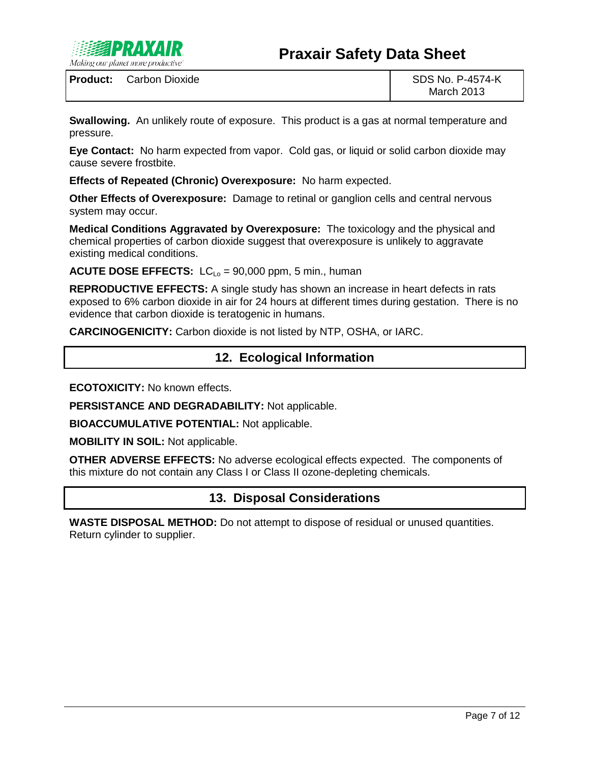

**Swallowing.** An unlikely route of exposure. This product is a gas at normal temperature and pressure.

**Eye Contact:** No harm expected from vapor. Cold gas, or liquid or solid carbon dioxide may cause severe frostbite.

**Effects of Repeated (Chronic) Overexposure:** No harm expected.

**Other Effects of Overexposure:** Damage to retinal or ganglion cells and central nervous system may occur.

**Medical Conditions Aggravated by Overexposure:** The toxicology and the physical and chemical properties of carbon dioxide suggest that overexposure is unlikely to aggravate existing medical conditions.

**ACUTE DOSE EFFECTS:**  $LC_{10} = 90,000$  ppm, 5 min., human

**REPRODUCTIVE EFFECTS:** A single study has shown an increase in heart defects in rats exposed to 6% carbon dioxide in air for 24 hours at different times during gestation. There is no evidence that carbon dioxide is teratogenic in humans.

**CARCINOGENICITY:** Carbon dioxide is not listed by NTP, OSHA, or IARC.

# **12. Ecological Information**

**ECOTOXICITY:** No known effects.

**PERSISTANCE AND DEGRADABILITY:** Not applicable.

**BIOACCUMULATIVE POTENTIAL:** Not applicable.

**MOBILITY IN SOIL:** Not applicable.

**OTHER ADVERSE EFFECTS:** No adverse ecological effects expected. The components of this mixture do not contain any Class I or Class II ozone-depleting chemicals.

### **13. Disposal Considerations**

**WASTE DISPOSAL METHOD:** Do not attempt to dispose of residual or unused quantities. Return cylinder to supplier.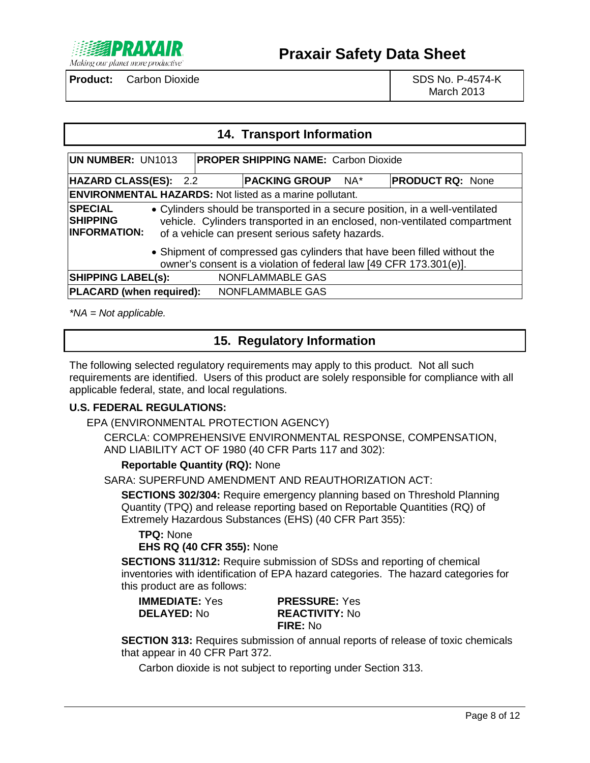

March 2013

### **14. Transport Information**

| UN NUMBER: UN1013                                                                                                                                                                                                                                                         | <b>PROPER SHIPPING NAME: Carbon Dioxide</b> |     |                         |
|---------------------------------------------------------------------------------------------------------------------------------------------------------------------------------------------------------------------------------------------------------------------------|---------------------------------------------|-----|-------------------------|
| HAZARD CLASS(ES): 2.2                                                                                                                                                                                                                                                     | <b>PACKING GROUP</b>                        | NA* | <b>PRODUCT RQ: None</b> |
| <b>ENVIRONMENTAL HAZARDS:</b> Not listed as a marine pollutant.                                                                                                                                                                                                           |                                             |     |                         |
| <b>SPECIAL</b><br>• Cylinders should be transported in a secure position, in a well-ventilated<br><b>SHIPPING</b><br>vehicle. Cylinders transported in an enclosed, non-ventilated compartment<br><b>INFORMATION:</b><br>of a vehicle can present serious safety hazards. |                                             |     |                         |
| • Shipment of compressed gas cylinders that have been filled without the<br>owner's consent is a violation of federal law [49 CFR 173.301(e)].                                                                                                                            |                                             |     |                         |
| <b>SHIPPING LABEL(S):</b>                                                                                                                                                                                                                                                 | NONFLAMMABLE GAS                            |     |                         |
| <b>PLACARD</b> (when required):                                                                                                                                                                                                                                           | NONFLAMMABLE GAS                            |     |                         |

*\*NA = Not applicable.*

# **15. Regulatory Information**

The following selected regulatory requirements may apply to this product. Not all such requirements are identified. Users of this product are solely responsible for compliance with all applicable federal, state, and local regulations.

### **U.S. FEDERAL REGULATIONS:**

EPA (ENVIRONMENTAL PROTECTION AGENCY)

CERCLA: COMPREHENSIVE ENVIRONMENTAL RESPONSE, COMPENSATION, AND LIABILITY ACT OF 1980 (40 CFR Parts 117 and 302):

#### **Reportable Quantity (RQ):** None

SARA: SUPERFUND AMENDMENT AND REAUTHORIZATION ACT:

**SECTIONS 302/304:** Require emergency planning based on Threshold Planning Quantity (TPQ) and release reporting based on Reportable Quantities (RQ) of Extremely Hazardous Substances (EHS) (40 CFR Part 355):

**TPQ:** None **EHS RQ (40 CFR 355):** None

**SECTIONS 311/312:** Require submission of SDSs and reporting of chemical inventories with identification of EPA hazard categories. The hazard categories for this product are as follows:

| <b>IMMEDIATE:</b> Yes |  |
|-----------------------|--|
| <b>DELAYED: No</b>    |  |
|                       |  |

**IMMEDIATE:** Yes **PRESSURE:** Yes **DELAYED:** No **REACTIVITY:** No **FIRE:** No

**SECTION 313:** Requires submission of annual reports of release of toxic chemicals that appear in 40 CFR Part 372.

Carbon dioxide is not subject to reporting under Section 313.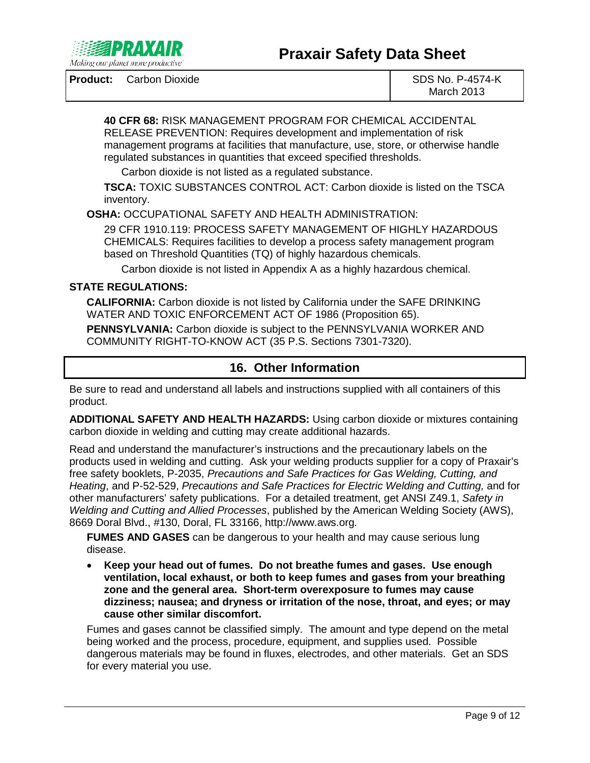

March 2013

**40 CFR 68:** RISK MANAGEMENT PROGRAM FOR CHEMICAL ACCIDENTAL RELEASE PREVENTION: Requires development and implementation of risk management programs at facilities that manufacture, use, store, or otherwise handle regulated substances in quantities that exceed specified thresholds.

Carbon dioxide is not listed as a regulated substance.

**TSCA:** TOXIC SUBSTANCES CONTROL ACT: Carbon dioxide is listed on the TSCA inventory.

**OSHA:** OCCUPATIONAL SAFETY AND HEALTH ADMINISTRATION:

29 CFR 1910.119: PROCESS SAFETY MANAGEMENT OF HIGHLY HAZARDOUS CHEMICALS: Requires facilities to develop a process safety management program based on Threshold Quantities (TQ) of highly hazardous chemicals.

Carbon dioxide is not listed in Appendix A as a highly hazardous chemical.

### **STATE REGULATIONS:**

**CALIFORNIA:** Carbon dioxide is not listed by California under the SAFE DRINKING WATER AND TOXIC ENFORCEMENT ACT OF 1986 (Proposition 65).

**PENNSYLVANIA:** Carbon dioxide is subject to the PENNSYLVANIA WORKER AND COMMUNITY RIGHT-TO-KNOW ACT (35 P.S. Sections 7301-7320).

# **16. Other Information**

Be sure to read and understand all labels and instructions supplied with all containers of this product.

**ADDITIONAL SAFETY AND HEALTH HAZARDS:** Using carbon dioxide or mixtures containing carbon dioxide in welding and cutting may create additional hazards.

Read and understand the manufacturer's instructions and the precautionary labels on the products used in welding and cutting. Ask your welding products supplier for a copy of Praxair's free safety booklets, P-2035, *Precautions and Safe Practices for Gas Welding, Cutting, and Heating*, and P-52-529, *Precautions and Safe Practices for Electric Welding and Cutting,* and for other manufacturers' safety publications. For a detailed treatment, get ANSI Z49.1, *Safety in Welding and Cutting and Allied Processes*, published by the American Welding Society (AWS), 8669 Doral Blvd., #130, Doral, FL 33166, http://www.aws.org*.*

**FUMES AND GASES** can be dangerous to your health and may cause serious lung disease.

• **Keep your head out of fumes. Do not breathe fumes and gases. Use enough ventilation, local exhaust, or both to keep fumes and gases from your breathing zone and the general area. Short-term overexposure to fumes may cause dizziness; nausea; and dryness or irritation of the nose, throat, and eyes; or may cause other similar discomfort.**

Fumes and gases cannot be classified simply. The amount and type depend on the metal being worked and the process, procedure, equipment, and supplies used. Possible dangerous materials may be found in fluxes, electrodes, and other materials. Get an SDS for every material you use.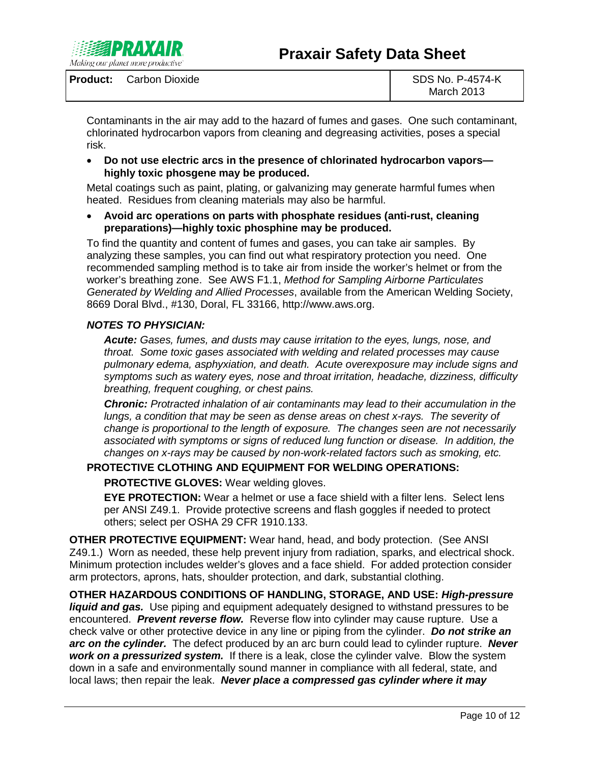

Contaminants in the air may add to the hazard of fumes and gases. One such contaminant, chlorinated hydrocarbon vapors from cleaning and degreasing activities, poses a special risk.

• **Do not use electric arcs in the presence of chlorinated hydrocarbon vapors highly toxic phosgene may be produced.**

Metal coatings such as paint, plating, or galvanizing may generate harmful fumes when heated. Residues from cleaning materials may also be harmful.

• **Avoid arc operations on parts with phosphate residues (anti-rust, cleaning preparations)—highly toxic phosphine may be produced.**

To find the quantity and content of fumes and gases, you can take air samples. By analyzing these samples, you can find out what respiratory protection you need. One recommended sampling method is to take air from inside the worker's helmet or from the worker's breathing zone. See AWS F1.1, *Method for Sampling Airborne Particulates Generated by Welding and Allied Processes*, available from the American Welding Society, 8669 Doral Blvd., #130, Doral, FL 33166, http://www.aws.org.

#### *NOTES TO PHYSICIAN:*

*Acute: Gases, fumes, and dusts may cause irritation to the eyes, lungs, nose, and throat. Some toxic gases associated with welding and related processes may cause pulmonary edema, asphyxiation, and death. Acute overexposure may include signs and symptoms such as watery eyes, nose and throat irritation, headache, dizziness, difficulty breathing, frequent coughing, or chest pains.*

*Chronic: Protracted inhalation of air contaminants may lead to their accumulation in the lungs, a condition that may be seen as dense areas on chest x-rays. The severity of change is proportional to the length of exposure. The changes seen are not necessarily associated with symptoms or signs of reduced lung function or disease. In addition, the changes on x-rays may be caused by non-work-related factors such as smoking, etc.*

#### **PROTECTIVE CLOTHING AND EQUIPMENT FOR WELDING OPERATIONS:**

**PROTECTIVE GLOVES:** Wear welding gloves.

**EYE PROTECTION:** Wear a helmet or use a face shield with a filter lens. Select lens per ANSI Z49.1. Provide protective screens and flash goggles if needed to protect others; select per OSHA 29 CFR 1910.133.

**OTHER PROTECTIVE EQUIPMENT:** Wear hand, head, and body protection. (See ANSI Z49.1.) Worn as needed, these help prevent injury from radiation, sparks, and electrical shock. Minimum protection includes welder's gloves and a face shield. For added protection consider arm protectors, aprons, hats, shoulder protection, and dark, substantial clothing.

**OTHER HAZARDOUS CONDITIONS OF HANDLING, STORAGE, AND USE:** *High-pressure liquid and gas.* Use piping and equipment adequately designed to withstand pressures to be encountered. *Prevent reverse flow.* Reverse flow into cylinder may cause rupture. Use a check valve or other protective device in any line or piping from the cylinder. *Do not strike an arc on the cylinder.* The defect produced by an arc burn could lead to cylinder rupture. *Never work on a pressurized system.* If there is a leak, close the cylinder valve. Blow the system down in a safe and environmentally sound manner in compliance with all federal, state, and local laws; then repair the leak. *Never place a compressed gas cylinder where it may*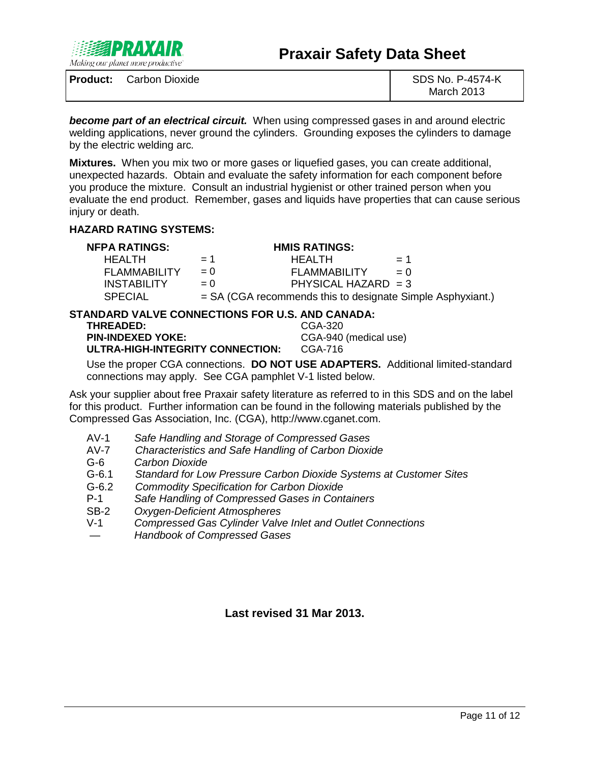

March 2013

*become part of an electrical circuit.* When using compressed gases in and around electric welding applications, never ground the cylinders. Grounding exposes the cylinders to damage by the electric welding arc*.*

**Mixtures.** When you mix two or more gases or liquefied gases, you can create additional, unexpected hazards. Obtain and evaluate the safety information for each component before you produce the mixture. Consult an industrial hygienist or other trained person when you evaluate the end product. Remember, gases and liquids have properties that can cause serious injury or death.

#### **HAZARD RATING SYSTEMS:**

|  | <b>NFPA RATINGS:</b> |
|--|----------------------|
|--|----------------------|

#### **HMIS RATINGS:**

| HFAI TH             | $= 1$ | HFAI TH                                                    | $= 1$ |
|---------------------|-------|------------------------------------------------------------|-------|
| <b>FLAMMABILITY</b> | $= 0$ | <b>FLAMMABILITY</b>                                        | $= 0$ |
| <b>INSTABILITY</b>  | $= 0$ | PHYSICAL HAZARD $=$ 3                                      |       |
| <b>SPECIAL</b>      |       | = SA (CGA recommends this to designate Simple Asphyxiant.) |       |

# **STANDARD VALVE CONNECTIONS FOR U.S. AND CANADA:**

| <b>THREADED:</b>                 | CGA-320               |
|----------------------------------|-----------------------|
| <b>PIN-INDEXED YOKE:</b>         | CGA-940 (medical use) |
| ULTRA-HIGH-INTEGRITY CONNECTION: | CGA-716               |

Use the proper CGA connections. **DO NOT USE ADAPTERS.** Additional limited-standard connections may apply. See CGA pamphlet V-1 listed below.

Ask your supplier about free Praxair safety literature as referred to in this SDS and on the label for this product. Further information can be found in the following materials published by the Compressed Gas Association, Inc. (CGA), http://www.cganet.com.

- AV-1 *Safe Handling and Storage of Compressed Gases*
- AV-7 *Characteristics and Safe Handling of Carbon Dioxide*
- G-6 *Carbon Dioxide*
- G-6.1 *Standard for Low Pressure Carbon Dioxide Systems at Customer Sites*
- G-6.2 *Commodity Specification for Carbon Dioxide*
- P-1 *Safe Handling of Compressed Gases in Containers*
- SB-2 *Oxygen-Deficient Atmospheres*
- **Compressed Gas Cylinder Valve Inlet and Outlet Connections**
- *Handbook of Compressed Gases*

**Last revised 31 Mar 2013.**